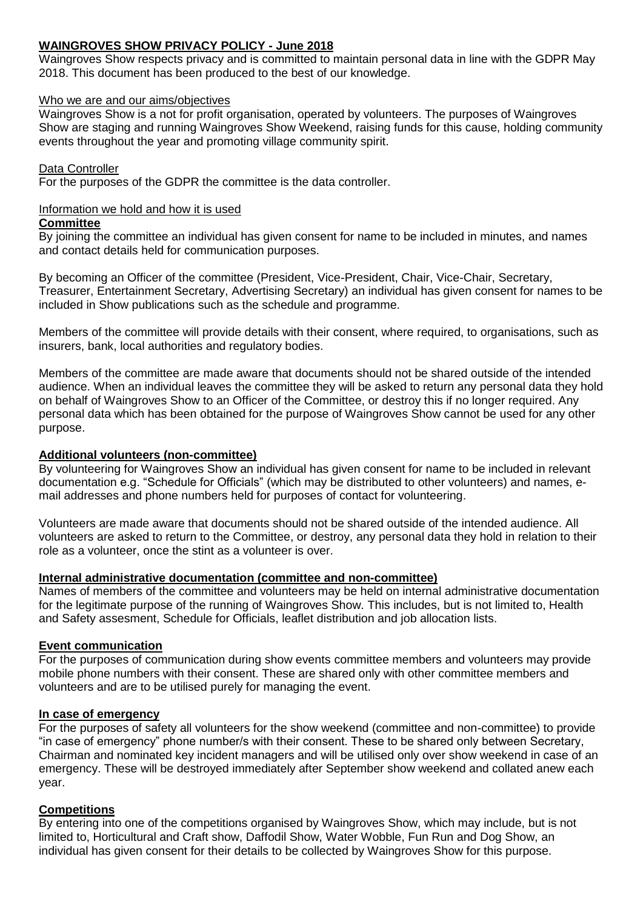## **WAINGROVES SHOW PRIVACY POLICY - June 2018**

Waingroves Show respects privacy and is committed to maintain personal data in line with the GDPR May 2018. This document has been produced to the best of our knowledge.

### Who we are and our aims/objectives

Waingroves Show is a not for profit organisation, operated by volunteers. The purposes of Waingroves Show are staging and running Waingroves Show Weekend, raising funds for this cause, holding community events throughout the year and promoting village community spirit.

## Data Controller

For the purposes of the GDPR the committee is the data controller.

## Information we hold and how it is used

## **Committee**

By joining the committee an individual has given consent for name to be included in minutes, and names and contact details held for communication purposes.

By becoming an Officer of the committee (President, Vice-President, Chair, Vice-Chair, Secretary, Treasurer, Entertainment Secretary, Advertising Secretary) an individual has given consent for names to be included in Show publications such as the schedule and programme.

Members of the committee will provide details with their consent, where required, to organisations, such as insurers, bank, local authorities and regulatory bodies.

Members of the committee are made aware that documents should not be shared outside of the intended audience. When an individual leaves the committee they will be asked to return any personal data they hold on behalf of Waingroves Show to an Officer of the Committee, or destroy this if no longer required. Any personal data which has been obtained for the purpose of Waingroves Show cannot be used for any other purpose.

## **Additional volunteers (non-committee)**

By volunteering for Waingroves Show an individual has given consent for name to be included in relevant documentation e.g. "Schedule for Officials" (which may be distributed to other volunteers) and names, email addresses and phone numbers held for purposes of contact for volunteering.

Volunteers are made aware that documents should not be shared outside of the intended audience. All volunteers are asked to return to the Committee, or destroy, any personal data they hold in relation to their role as a volunteer, once the stint as a volunteer is over.

### **Internal administrative documentation (committee and non-committee)**

Names of members of the committee and volunteers may be held on internal administrative documentation for the legitimate purpose of the running of Waingroves Show. This includes, but is not limited to, Health and Safety assesment, Schedule for Officials, leaflet distribution and job allocation lists.

# **Event communication**

For the purposes of communication during show events committee members and volunteers may provide mobile phone numbers with their consent. These are shared only with other committee members and volunteers and are to be utilised purely for managing the event.

### **In case of emergency**

For the purposes of safety all volunteers for the show weekend (committee and non-committee) to provide "in case of emergency" phone number/s with their consent. These to be shared only between Secretary, Chairman and nominated key incident managers and will be utilised only over show weekend in case of an emergency. These will be destroyed immediately after September show weekend and collated anew each year.

### **Competitions**

By entering into one of the competitions organised by Waingroves Show, which may include, but is not limited to, Horticultural and Craft show, Daffodil Show, Water Wobble, Fun Run and Dog Show, an individual has given consent for their details to be collected by Waingroves Show for this purpose.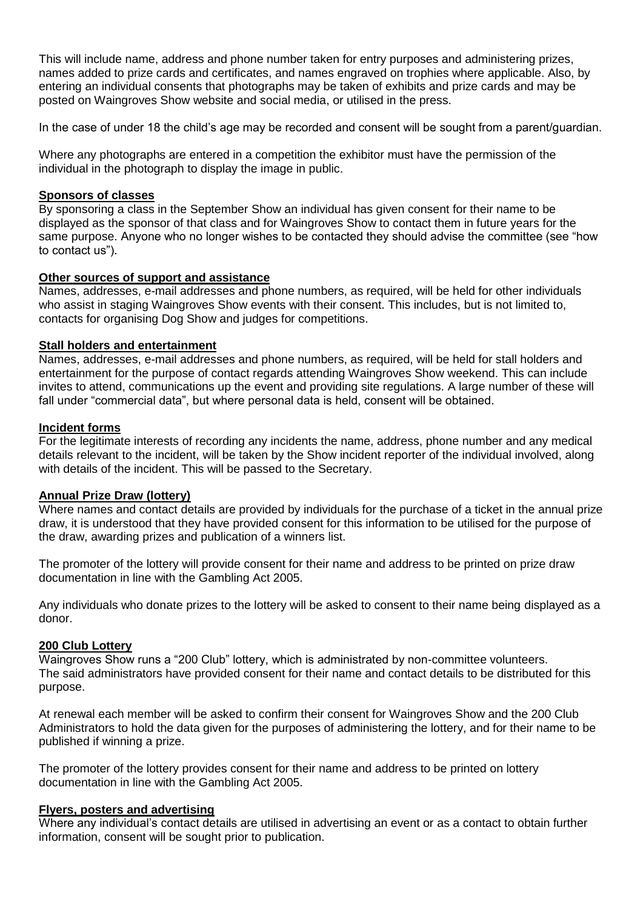This will include name, address and phone number taken for entry purposes and administering prizes, names added to prize cards and certificates, and names engraved on trophies where applicable. Also, by entering an individual consents that photographs may be taken of exhibits and prize cards and may be posted on Waingroves Show website and social media, or utilised in the press.

In the case of under 18 the child's age may be recorded and consent will be sought from a parent/guardian.

Where any photographs are entered in a competition the exhibitor must have the permission of the individual in the photograph to display the image in public.

#### **Sponsors of classes**

By sponsoring a class in the September Show an individual has given consent for their name to be displayed as the sponsor of that class and for Waingroves Show to contact them in future years for the same purpose. Anyone who no longer wishes to be contacted they should advise the committee (see "how to contact us").

#### **Other sources of support and assistance**

Names, addresses, e-mail addresses and phone numbers, as required, will be held for other individuals who assist in staging Waingroves Show events with their consent. This includes, but is not limited to, contacts for organising Dog Show and judges for competitions.

### **Stall holders and entertainment**

Names, addresses, e-mail addresses and phone numbers, as required, will be held for stall holders and entertainment for the purpose of contact regards attending Waingroves Show weekend. This can include invites to attend, communications up the event and providing site regulations. A large number of these will fall under "commercial data", but where personal data is held, consent will be obtained.

#### **Incident forms**

For the legitimate interests of recording any incidents the name, address, phone number and any medical details relevant to the incident, will be taken by the Show incident reporter of the individual involved, along with details of the incident. This will be passed to the Secretary.

### **Annual Prize Draw (lottery)**

Where names and contact details are provided by individuals for the purchase of a ticket in the annual prize draw, it is understood that they have provided consent for this information to be utilised for the purpose of the draw, awarding prizes and publication of a winners list.

The promoter of the lottery will provide consent for their name and address to be printed on prize draw documentation in line with the Gambling Act 2005.

Any individuals who donate prizes to the lottery will be asked to consent to their name being displayed as a donor.

#### **200 Club Lottery**

Waingroves Show runs a "200 Club" lottery, which is administrated by non-committee volunteers. The said administrators have provided consent for their name and contact details to be distributed for this purpose.

At renewal each member will be asked to confirm their consent for Waingroves Show and the 200 Club Administrators to hold the data given for the purposes of administering the lottery, and for their name to be published if winning a prize.

The promoter of the lottery provides consent for their name and address to be printed on lottery documentation in line with the Gambling Act 2005.

#### **Flyers, posters and advertising**

Where any individual's contact details are utilised in advertising an event or as a contact to obtain further information, consent will be sought prior to publication.